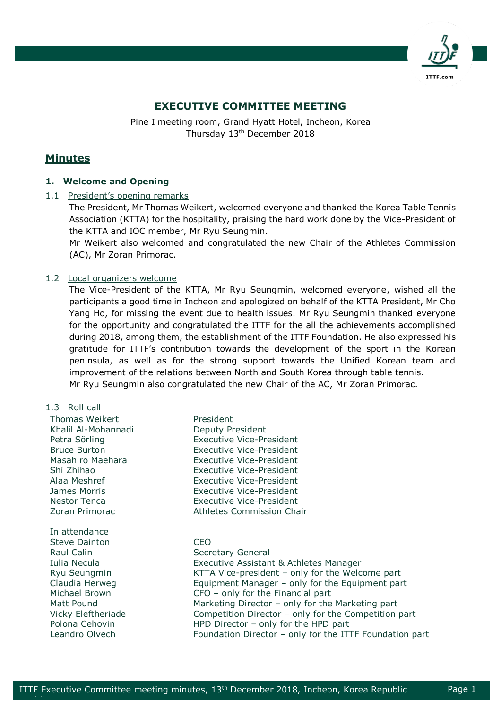

# **EXECUTIVE COMMITTEE MEETING**

Pine I meeting room, Grand Hyatt Hotel, Incheon, Korea Thursday 13<sup>th</sup> December 2018

## **Minutes**

## **1. Welcome and Opening**

1.1 President's opening remarks

The President, Mr Thomas Weikert, welcomed everyone and thanked the Korea Table Tennis Association (KTTA) for the hospitality, praising the hard work done by the Vice-President of the KTTA and IOC member, Mr Ryu Seungmin.

Mr Weikert also welcomed and congratulated the new Chair of the Athletes Commission (AC), Mr Zoran Primorac.

## 1.2 Local organizers welcome

The Vice-President of the KTTA, Mr Ryu Seungmin, welcomed everyone, wished all the participants a good time in Incheon and apologized on behalf of the KTTA President, Mr Cho Yang Ho, for missing the event due to health issues. Mr Ryu Seungmin thanked everyone for the opportunity and congratulated the ITTF for the all the achievements accomplished during 2018, among them, the establishment of the ITTF Foundation. He also expressed his gratitude for ITTF's contribution towards the development of the sport in the Korean peninsula, as well as for the strong support towards the Unified Korean team and improvement of the relations between North and South Korea through table tennis. Mr Ryu Seungmin also congratulated the new Chair of the AC, Mr Zoran Primorac.

#### 1.3 Roll call

epublica est.<br>Perus de la provincia de la provincia de la provincia de la provincia de la provincia de la provincia de la p<br>Perus de la provincia de la provincia de la provincia de la provincia de la provincia de la provin

| Thomas Weikert       | President                                               |
|----------------------|---------------------------------------------------------|
| Khalil Al-Mohannadi  | Deputy President                                        |
| Petra Sörling        | <b>Executive Vice-President</b>                         |
| <b>Bruce Burton</b>  | Executive Vice-President                                |
| Masahiro Maehara     | <b>Executive Vice-President</b>                         |
| Shi Zhihao           | <b>Executive Vice-President</b>                         |
| Alaa Meshref         | <b>Executive Vice-President</b>                         |
| James Morris         | <b>Executive Vice-President</b>                         |
| <b>Nestor Tenca</b>  | <b>Executive Vice-President</b>                         |
| Zoran Primorac       | Athletes Commission Chair                               |
| In attendance        |                                                         |
| <b>Steve Dainton</b> | <b>CEO</b>                                              |
| Raul Calin           | Secretary General                                       |
| Iulia Necula         | Executive Assistant & Athletes Manager                  |
| Ryu Seungmin         | KTTA Vice-president – only for the Welcome part         |
| Claudia Herweg       | Equipment Manager - only for the Equipment part         |
| Michael Brown        | $CFO - only$ for the Financial part                     |
| Matt Pound           | Marketing Director – only for the Marketing part        |
| Vicky Eleftheriade   | Competition Director - only for the Competition part    |
| Polona Cehovin       | HPD Director $-$ only for the HPD part                  |
| Leandro Olvech       | Foundation Director - only for the ITTF Foundation part |
|                      |                                                         |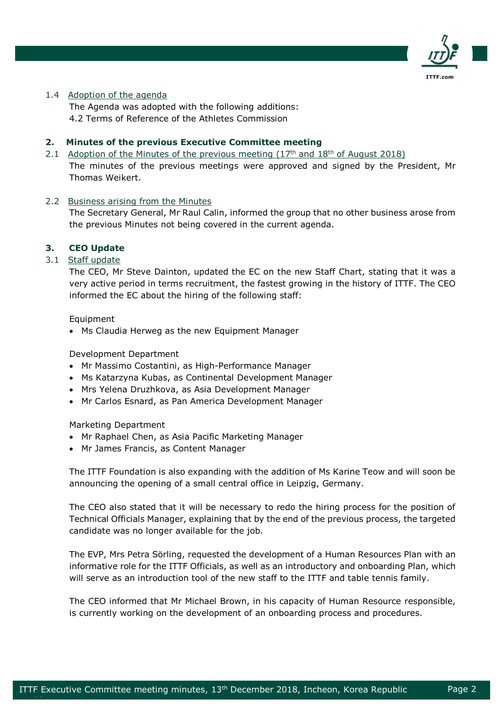

## 1.4 Adoption of the agenda

The Agenda was adopted with the following additions: 4.2 Terms of Reference of the Athletes Commission

## **2. Minutes of the previous Executive Committee meeting**

2.1 Adoption of the Minutes of the previous meeting  $(17<sup>th</sup>$  and  $18<sup>th</sup>$  of August 2018) The minutes of the previous meetings were approved and signed by the President, Mr Thomas Weikert.

## 2.2 Business arising from the Minutes

The Secretary General, Mr Raul Calin, informed the group that no other business arose from the previous Minutes not being covered in the current agenda.

## **3. CEO Update**

## 3.1 Staff update

The CEO, Mr Steve Dainton, updated the EC on the new Staff Chart, stating that it was a very active period in terms recruitment, the fastest growing in the history of ITTF. The CEO informed the EC about the hiring of the following staff:

Equipment

epublica est.<br>Perus de la provincia de la provincia de la provincia de la provincia de la provincia de la provincia de la p<br>Perus de la provincia de la provincia de la provincia de la provincia de la provincia de la provin

• Ms Claudia Herweg as the new Equipment Manager

Development Department

- Mr Massimo Costantini, as High-Performance Manager
- Ms Katarzyna Kubas, as Continental Development Manager
- Mrs Yelena Druzhkova, as Asia Development Manager
- Mr Carlos Esnard, as Pan America Development Manager

Marketing Department

- Mr Raphael Chen, as Asia Pacific Marketing Manager
- Mr James Francis, as Content Manager

The ITTF Foundation is also expanding with the addition of Ms Karine Teow and will soon be announcing the opening of a small central office in Leipzig, Germany.

The CEO also stated that it will be necessary to redo the hiring process for the position of Technical Officials Manager, explaining that by the end of the previous process, the targeted candidate was no longer available for the job.

The EVP, Mrs Petra Sörling, requested the development of a Human Resources Plan with an informative role for the ITTF Officials, as well as an introductory and onboarding Plan, which will serve as an introduction tool of the new staff to the ITTF and table tennis family.

The CEO informed that Mr Michael Brown, in his capacity of Human Resource responsible, is currently working on the development of an onboarding process and procedures.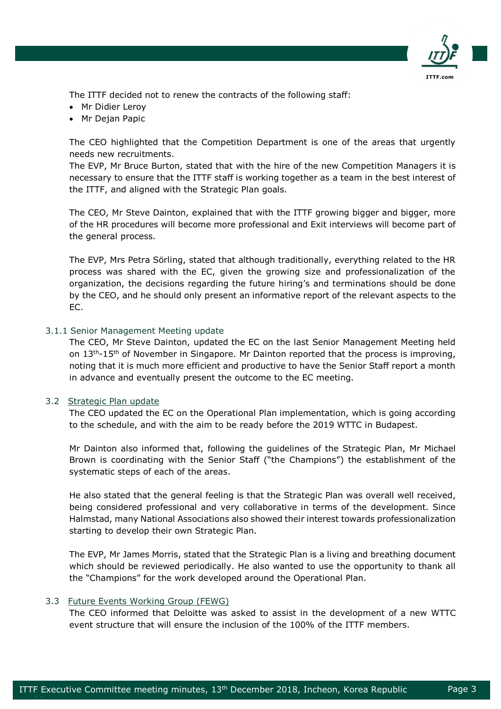

The ITTF decided not to renew the contracts of the following staff:

- Mr Didier Leroy
- Mr Dejan Papic

The CEO highlighted that the Competition Department is one of the areas that urgently needs new recruitments.

The EVP, Mr Bruce Burton, stated that with the hire of the new Competition Managers it is necessary to ensure that the ITTF staff is working together as a team in the best interest of the ITTF, and aligned with the Strategic Plan goals.

The CEO, Mr Steve Dainton, explained that with the ITTF growing bigger and bigger, more of the HR procedures will become more professional and Exit interviews will become part of the general process.

The EVP, Mrs Petra Sörling, stated that although traditionally, everything related to the HR process was shared with the EC, given the growing size and professionalization of the organization, the decisions regarding the future hiring's and terminations should be done by the CEO, and he should only present an informative report of the relevant aspects to the EC.

## 3.1.1 Senior Management Meeting update

The CEO, Mr Steve Dainton, updated the EC on the last Senior Management Meeting held on  $13<sup>th</sup>-15<sup>th</sup>$  of November in Singapore. Mr Dainton reported that the process is improving, noting that it is much more efficient and productive to have the Senior Staff report a month in advance and eventually present the outcome to the EC meeting.

## 3.2 Strategic Plan update

The CEO updated the EC on the Operational Plan implementation, which is going according to the schedule, and with the aim to be ready before the 2019 WTTC in Budapest.

Mr Dainton also informed that, following the guidelines of the Strategic Plan, Mr Michael Brown is coordinating with the Senior Staff ("the Champions") the establishment of the systematic steps of each of the areas.

He also stated that the general feeling is that the Strategic Plan was overall well received, being considered professional and very collaborative in terms of the development. Since Halmstad, many National Associations also showed their interest towards professionalization starting to develop their own Strategic Plan.

The EVP, Mr James Morris, stated that the Strategic Plan is a living and breathing document which should be reviewed periodically. He also wanted to use the opportunity to thank all the "Champions" for the work developed around the Operational Plan.

## 3.3 Future Events Working Group (FEWG)

epublica est.<br>Perus de la provincia de la provincia de la provincia de la provincia de la provincia de la provincia de la p<br>Perus de la provincia de la provincia de la provincia de la provincia de la provincia de la provin

The CEO informed that Deloitte was asked to assist in the development of a new WTTC event structure that will ensure the inclusion of the 100% of the ITTF members.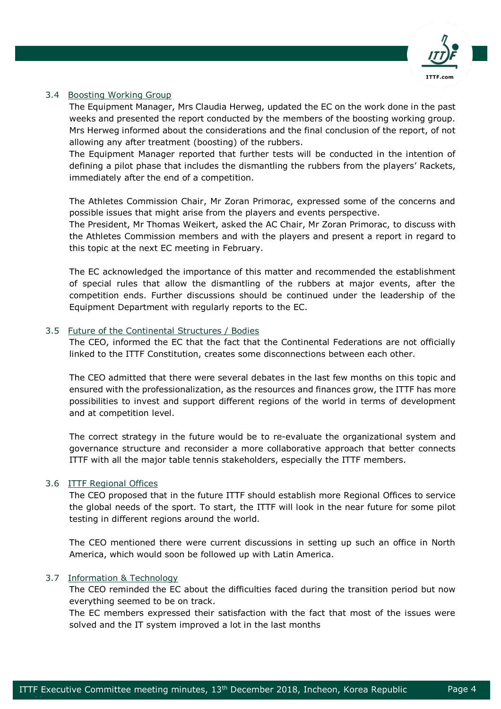

## 3.4 Boosting Working Group

The Equipment Manager, Mrs Claudia Herweg, updated the EC on the work done in the past weeks and presented the report conducted by the members of the boosting working group. Mrs Herweg informed about the considerations and the final conclusion of the report, of not allowing any after treatment (boosting) of the rubbers.

The Equipment Manager reported that further tests will be conducted in the intention of defining a pilot phase that includes the dismantling the rubbers from the players' Rackets, immediately after the end of a competition.

The Athletes Commission Chair, Mr Zoran Primorac, expressed some of the concerns and possible issues that might arise from the players and events perspective.

The President, Mr Thomas Weikert, asked the AC Chair, Mr Zoran Primorac, to discuss with the Athletes Commission members and with the players and present a report in regard to this topic at the next EC meeting in February.

The EC acknowledged the importance of this matter and recommended the establishment of special rules that allow the dismantling of the rubbers at major events, after the competition ends. Further discussions should be continued under the leadership of the Equipment Department with regularly reports to the EC.

#### 3.5 Future of the Continental Structures / Bodies

The CEO, informed the EC that the fact that the Continental Federations are not officially linked to the ITTF Constitution, creates some disconnections between each other.

The CEO admitted that there were several debates in the last few months on this topic and ensured with the professionalization, as the resources and finances grow, the ITTF has more possibilities to invest and support different regions of the world in terms of development and at competition level.

The correct strategy in the future would be to re-evaluate the organizational system and governance structure and reconsider a more collaborative approach that better connects ITTF with all the major table tennis stakeholders, especially the ITTF members.

## 3.6 ITTF Regional Offices

The CEO proposed that in the future ITTF should establish more Regional Offices to service the global needs of the sport. To start, the ITTF will look in the near future for some pilot testing in different regions around the world.

The CEO mentioned there were current discussions in setting up such an office in North America, which would soon be followed up with Latin America.

## 3.7 Information & Technology

epublica est.<br>Perus de la provincia de la provincia de la provincia de la provincia de la provincia de la provincia de la p<br>Perus de la provincia de la provincia de la provincia de la provincia de la provincia de la provin

The CEO reminded the EC about the difficulties faced during the transition period but now everything seemed to be on track.

The EC members expressed their satisfaction with the fact that most of the issues were solved and the IT system improved a lot in the last months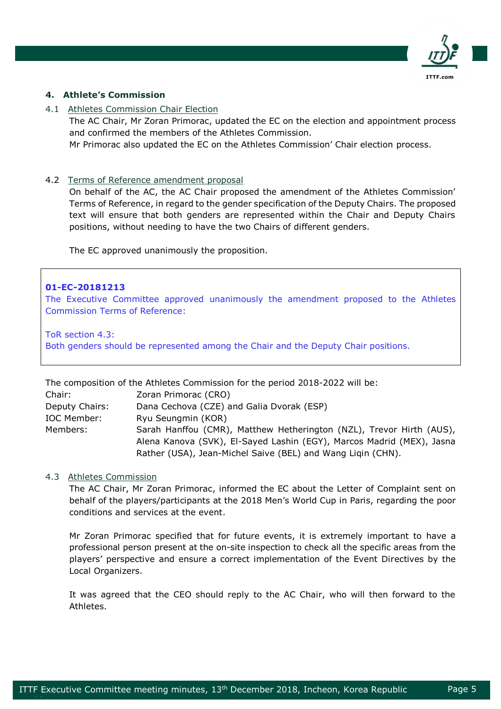

## **4. Athlete's Commission**

## 4.1 Athletes Commission Chair Election

The AC Chair, Mr Zoran Primorac, updated the EC on the election and appointment process and confirmed the members of the Athletes Commission.

Mr Primorac also updated the EC on the Athletes Commission' Chair election process.

#### 4.2 Terms of Reference amendment proposal

On behalf of the AC, the AC Chair proposed the amendment of the Athletes Commission' Terms of Reference, in regard to the gender specification of the Deputy Chairs. The proposed text will ensure that both genders are represented within the Chair and Deputy Chairs positions, without needing to have the two Chairs of different genders.

The EC approved unanimously the proposition.

#### **01-EC-20181213**

The Executive Committee approved unanimously the amendment proposed to the Athletes Commission Terms of Reference:

ToR section 4.3: Both genders should be represented among the Chair and the Deputy Chair positions.

|                | The composition of the Athletes Commission for the period 2018-2022 will be: |
|----------------|------------------------------------------------------------------------------|
| Chair:         | Zoran Primorac (CRO)                                                         |
| Deputy Chairs: | Dana Cechova (CZE) and Galia Dvorak (ESP)                                    |
| IOC Member:    | Ryu Seungmin (KOR)                                                           |
| Members:       | Sarah Hanffou (CMR), Matthew Hetherington (NZL), Trevor Hirth (AUS),         |
|                | Alena Kanova (SVK), El-Sayed Lashin (EGY), Marcos Madrid (MEX), Jasna        |
|                | Rather (USA), Jean-Michel Saive (BEL) and Wang Ligin (CHN).                  |

#### 4.3 Athletes Commission

epublica est.<br>Perus de la provincia de la provincia de la provincia de la provincia de la provincia de la provincia de la p<br>Perus de la provincia de la provincia de la provincia de la provincia de la provincia de la provin

The AC Chair, Mr Zoran Primorac, informed the EC about the Letter of Complaint sent on behalf of the players/participants at the 2018 Men's World Cup in Paris, regarding the poor conditions and services at the event.

Mr Zoran Primorac specified that for future events, it is extremely important to have a professional person present at the on-site inspection to check all the specific areas from the players' perspective and ensure a correct implementation of the Event Directives by the Local Organizers.

It was agreed that the CEO should reply to the AC Chair, who will then forward to the Athletes.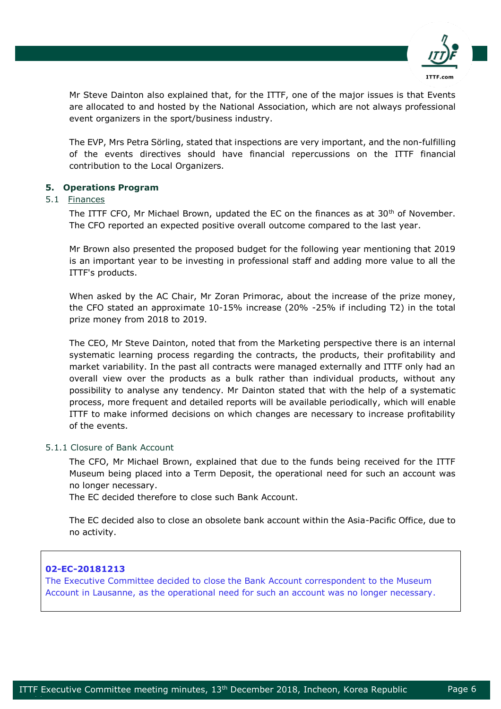

Mr Steve Dainton also explained that, for the ITTF, one of the major issues is that Events are allocated to and hosted by the National Association, which are not always professional event organizers in the sport/business industry.

The EVP, Mrs Petra Sörling, stated that inspections are very important, and the non-fulfilling of the events directives should have financial repercussions on the ITTF financial contribution to the Local Organizers.

## **5. Operations Program**

## 5.1 Finances

The ITTF CFO, Mr Michael Brown, updated the EC on the finances as at 30<sup>th</sup> of November. The CFO reported an expected positive overall outcome compared to the last year.

Mr Brown also presented the proposed budget for the following year mentioning that 2019 is an important year to be investing in professional staff and adding more value to all the ITTF's products.

When asked by the AC Chair, Mr Zoran Primorac, about the increase of the prize money, the CFO stated an approximate 10-15% increase (20% -25% if including T2) in the total prize money from 2018 to 2019.

The CEO, Mr Steve Dainton, noted that from the Marketing perspective there is an internal systematic learning process regarding the contracts, the products, their profitability and market variability. In the past all contracts were managed externally and ITTF only had an overall view over the products as a bulk rather than individual products, without any possibility to analyse any tendency. Mr Dainton stated that with the help of a systematic process, more frequent and detailed reports will be available periodically, which will enable ITTF to make informed decisions on which changes are necessary to increase profitability of the events.

## 5.1.1 Closure of Bank Account

The CFO, Mr Michael Brown, explained that due to the funds being received for the ITTF Museum being placed into a Term Deposit, the operational need for such an account was no longer necessary.

The EC decided therefore to close such Bank Account.

The EC decided also to close an obsolete bank account within the Asia-Pacific Office, due to no activity.

## **02-EC-20181213**

epublica est.<br>Perus de la provincia de la provincia de la provincia de la provincia de la provincia de la provincia de la p<br>Perus de la provincia de la provincia de la provincia de la provincia de la provincia de la provin

The Executive Committee decided to close the Bank Account correspondent to the Museum Account in Lausanne, as the operational need for such an account was no longer necessary.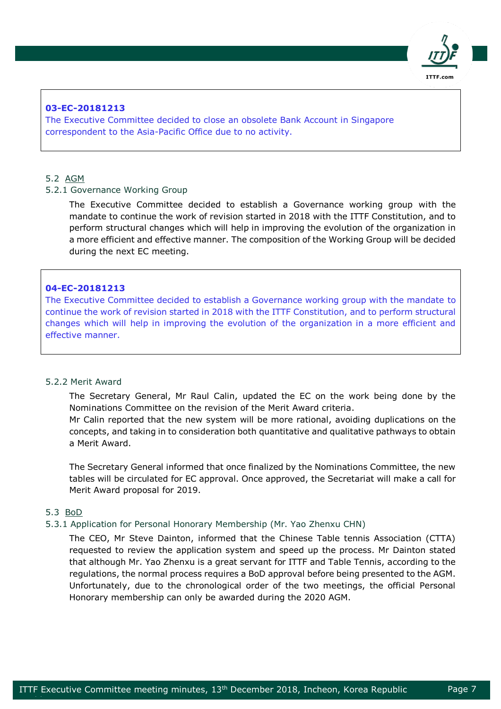

## **03-EC-20181213**

The Executive Committee decided to close an obsolete Bank Account in Singapore correspondent to the Asia-Pacific Office due to no activity.

## 5.2 AGM

#### 5.2.1 Governance Working Group

The Executive Committee decided to establish a Governance working group with the mandate to continue the work of revision started in 2018 with the ITTF Constitution, and to perform structural changes which will help in improving the evolution of the organization in a more efficient and effective manner. The composition of the Working Group will be decided during the next EC meeting.

#### **04-EC-20181213**

The Executive Committee decided to establish a Governance working group with the mandate to continue the work of revision started in 2018 with the ITTF Constitution, and to perform structural changes which will help in improving the evolution of the organization in a more efficient and effective manner.

### 5.2.2 Merit Award

The Secretary General, Mr Raul Calin, updated the EC on the work being done by the Nominations Committee on the revision of the Merit Award criteria.

Mr Calin reported that the new system will be more rational, avoiding duplications on the concepts, and taking in to consideration both quantitative and qualitative pathways to obtain a Merit Award.

The Secretary General informed that once finalized by the Nominations Committee, the new tables will be circulated for EC approval. Once approved, the Secretariat will make a call for Merit Award proposal for 2019.

#### 5.3 BoD

epublica est.<br>Perus de la provincia de la provincia de la provincia de la provincia de la provincia de la provincia de la p<br>Perus de la provincia de la provincia de la provincia de la provincia de la provincia de la provin

#### 5.3.1 Application for Personal Honorary Membership (Mr. Yao Zhenxu CHN)

The CEO, Mr Steve Dainton, informed that the Chinese Table tennis Association (CTTA) requested to review the application system and speed up the process. Mr Dainton stated that although Mr. Yao Zhenxu is a great servant for ITTF and Table Tennis, according to the regulations, the normal process requires a BoD approval before being presented to the AGM. Unfortunately, due to the chronological order of the two meetings, the official Personal Honorary membership can only be awarded during the 2020 AGM.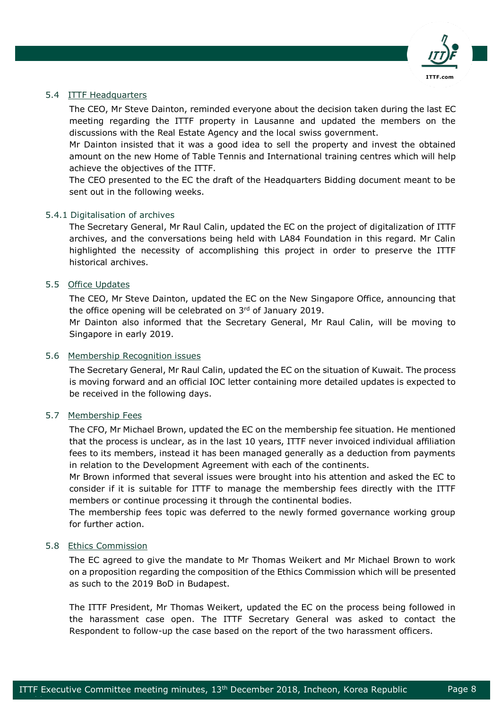

## 5.4 ITTF Headquarters

The CEO, Mr Steve Dainton, reminded everyone about the decision taken during the last EC meeting regarding the ITTF property in Lausanne and updated the members on the discussions with the Real Estate Agency and the local swiss government.

Mr Dainton insisted that it was a good idea to sell the property and invest the obtained amount on the new Home of Table Tennis and International training centres which will help achieve the objectives of the ITTF.

The CEO presented to the EC the draft of the Headquarters Bidding document meant to be sent out in the following weeks.

## 5.4.1 Digitalisation of archives

The Secretary General, Mr Raul Calin, updated the EC on the project of digitalization of ITTF archives, and the conversations being held with LA84 Foundation in this regard. Mr Calin highlighted the necessity of accomplishing this project in order to preserve the ITTF historical archives.

## 5.5 Office Updates

The CEO, Mr Steve Dainton, updated the EC on the New Singapore Office, announcing that the office opening will be celebrated on 3rd of January 2019.

Mr Dainton also informed that the Secretary General, Mr Raul Calin, will be moving to Singapore in early 2019.

### 5.6 Membership Recognition issues

The Secretary General, Mr Raul Calin, updated the EC on the situation of Kuwait. The process is moving forward and an official IOC letter containing more detailed updates is expected to be received in the following days.

#### 5.7 Membership Fees

The CFO, Mr Michael Brown, updated the EC on the membership fee situation. He mentioned that the process is unclear, as in the last 10 years, ITTF never invoiced individual affiliation fees to its members, instead it has been managed generally as a deduction from payments in relation to the Development Agreement with each of the continents.

Mr Brown informed that several issues were brought into his attention and asked the EC to consider if it is suitable for ITTF to manage the membership fees directly with the ITTF members or continue processing it through the continental bodies.

The membership fees topic was deferred to the newly formed governance working group for further action.

#### 5.8 Ethics Commission

epublica est.<br>Perus de la provincia de la provincia de la provincia de la provincia de la provincia de la provincia de la p<br>Perus de la provincia de la provincia de la provincia de la provincia de la provincia de la provin

The EC agreed to give the mandate to Mr Thomas Weikert and Mr Michael Brown to work on a proposition regarding the composition of the Ethics Commission which will be presented as such to the 2019 BoD in Budapest.

The ITTF President, Mr Thomas Weikert, updated the EC on the process being followed in the harassment case open. The ITTF Secretary General was asked to contact the Respondent to follow-up the case based on the report of the two harassment officers.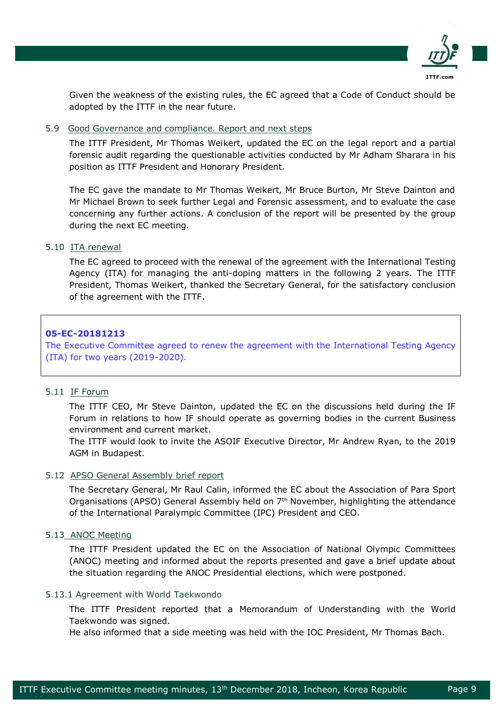

Given the weakness of the existing rules, the EC agreed that a Code of Conduct should be adopted by the ITTF in the near future.

## 5.9 Good Governance and compliance. Report and next steps

The ITTF President, Mr Thomas Weikert, updated the EC on the legal report and a partial forensic audit regarding the questionable activities conducted by Mr Adham Sharara in his position as ITTF President and Honorary President.

The EC gave the mandate to Mr Thomas Weikert, Mr Bruce Burton, Mr Steve Dainton and Mr Michael Brown to seek further Legal and Forensic assessment, and to evaluate the case concerning any further actions. A conclusion of the report will be presented by the group during the next EC meeting.

## 5.10 ITA renewal

The EC agreed to proceed with the renewal of the agreement with the International Testing Agency (ITA) for managing the anti-doping matters in the following 2 years. The ITTF President, Thomas Weikert, thanked the Secretary General, for the satisfactory conclusion of the agreement with the ITTF.

## **05-EC-20181213**

The Executive Committee agreed to renew the agreement with the International Testing Agency (ITA) for two years (2019-2020).

## 5.11 IF Forum

The ITTF CEO, Mr Steve Dainton, updated the EC on the discussions held during the IF Forum in relations to how IF should operate as governing bodies in the current Business environment and current market.

The ITTF would look to invite the ASOIF Executive Director, Mr Andrew Ryan, to the 2019 AGM in Budapest.

## 5.12 APSO General Assembly brief report

The Secretary General, Mr Raul Calin, informed the EC about the Association of Para Sport Organisations (APSO) General Assembly held on 7<sup>th</sup> November, highlighting the attendance of the International Paralympic Committee (IPC) President and CEO.

## 5.13 ANOC Meeting

epublica est.<br>Perus de la provincia de la provincia de la provincia de la provincia de la provincia de la provincia de la p<br>Perus de la provincia de la provincia de la provincia de la provincia de la provincia de la provin

The ITTF President updated the EC on the Association of National Olympic Committees (ANOC) meeting and informed about the reports presented and gave a brief update about the situation regarding the ANOC Presidential elections, which were postponed.

## 5.13.1 Agreement with World Taekwondo

The ITTF President reported that a Memorandum of Understanding with the World Taekwondo was signed.

He also informed that a side meeting was held with the IOC President, Mr Thomas Bach.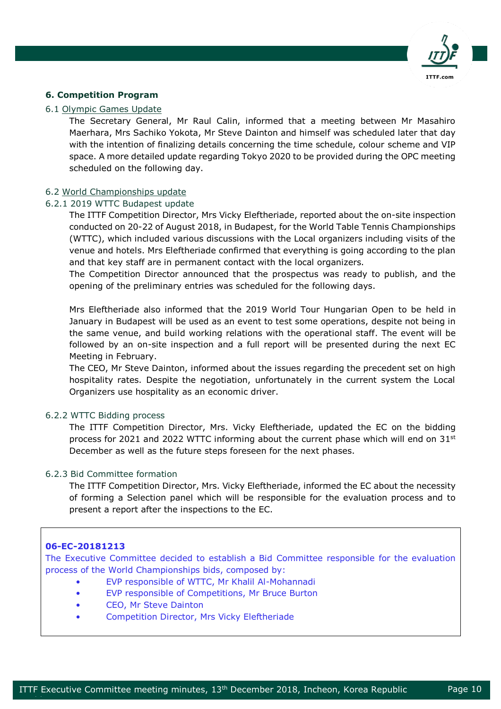

## **6. Competition Program**

#### 6.1 Olympic Games Update

The Secretary General, Mr Raul Calin, informed that a meeting between Mr Masahiro Maerhara, Mrs Sachiko Yokota, Mr Steve Dainton and himself was scheduled later that day with the intention of finalizing details concerning the time schedule, colour scheme and VIP space. A more detailed update regarding Tokyo 2020 to be provided during the OPC meeting scheduled on the following day.

#### 6.2 World Championships update

### 6.2.1 2019 WTTC Budapest update

The ITTF Competition Director, Mrs Vicky Eleftheriade, reported about the on-site inspection conducted on 20-22 of August 2018, in Budapest, for the World Table Tennis Championships (WTTC), which included various discussions with the Local organizers including visits of the venue and hotels. Mrs Eleftheriade confirmed that everything is going according to the plan and that key staff are in permanent contact with the local organizers.

The Competition Director announced that the prospectus was ready to publish, and the opening of the preliminary entries was scheduled for the following days.

Mrs Eleftheriade also informed that the 2019 World Tour Hungarian Open to be held in January in Budapest will be used as an event to test some operations, despite not being in the same venue, and build working relations with the operational staff. The event will be followed by an on-site inspection and a full report will be presented during the next EC Meeting in February.

The CEO, Mr Steve Dainton, informed about the issues regarding the precedent set on high hospitality rates. Despite the negotiation, unfortunately in the current system the Local Organizers use hospitality as an economic driver.

#### 6.2.2 WTTC Bidding process

The ITTF Competition Director, Mrs. Vicky Eleftheriade, updated the EC on the bidding process for 2021 and 2022 WTTC informing about the current phase which will end on  $31<sup>st</sup>$ December as well as the future steps foreseen for the next phases.

## 6.2.3 Bid Committee formation

The ITTF Competition Director, Mrs. Vicky Eleftheriade, informed the EC about the necessity of forming a Selection panel which will be responsible for the evaluation process and to present a report after the inspections to the EC.

## **06-EC-20181213**

epublica est.<br>Perus de la provincia de la provincia de la provincia de la provincia de la provincia de la provincia de la p<br>Perus de la provincia de la provincia de la provincia de la provincia de la provincia de la provin

The Executive Committee decided to establish a Bid Committee responsible for the evaluation process of the World Championships bids, composed by:

- EVP responsible of WTTC, Mr Khalil Al-Mohannadi
- EVP responsible of Competitions, Mr Bruce Burton
- CEO, Mr Steve Dainton
- Competition Director, Mrs Vicky Eleftheriade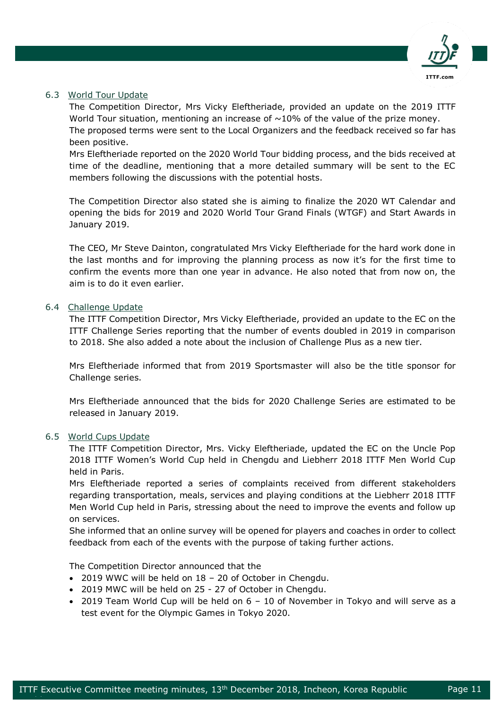

## 6.3 World Tour Update

The Competition Director, Mrs Vicky Eleftheriade, provided an update on the 2019 ITTF World Tour situation, mentioning an increase of  $\sim$ 10% of the value of the prize money.

The proposed terms were sent to the Local Organizers and the feedback received so far has been positive.

Mrs Eleftheriade reported on the 2020 World Tour bidding process, and the bids received at time of the deadline, mentioning that a more detailed summary will be sent to the EC members following the discussions with the potential hosts.

The Competition Director also stated she is aiming to finalize the 2020 WT Calendar and opening the bids for 2019 and 2020 World Tour Grand Finals (WTGF) and Start Awards in January 2019.

The CEO, Mr Steve Dainton, congratulated Mrs Vicky Eleftheriade for the hard work done in the last months and for improving the planning process as now it's for the first time to confirm the events more than one year in advance. He also noted that from now on, the aim is to do it even earlier.

## 6.4 Challenge Update

The ITTF Competition Director, Mrs Vicky Eleftheriade, provided an update to the EC on the ITTF Challenge Series reporting that the number of events doubled in 2019 in comparison to 2018. She also added a note about the inclusion of Challenge Plus as a new tier.

Mrs Eleftheriade informed that from 2019 Sportsmaster will also be the title sponsor for Challenge series.

Mrs Eleftheriade announced that the bids for 2020 Challenge Series are estimated to be released in January 2019.

## 6.5 World Cups Update

epublica est.<br>Perus de la provincia de la provincia de la provincia de la provincia de la provincia de la provincia de la p<br>Perus de la provincia de la provincia de la provincia de la provincia de la provincia de la provin

The ITTF Competition Director, Mrs. Vicky Eleftheriade, updated the EC on the Uncle Pop 2018 ITTF Women's World Cup held in Chengdu and Liebherr 2018 ITTF Men World Cup held in Paris.

Mrs Eleftheriade reported a series of complaints received from different stakeholders regarding transportation, meals, services and playing conditions at the Liebherr 2018 ITTF Men World Cup held in Paris, stressing about the need to improve the events and follow up on services.

She informed that an online survey will be opened for players and coaches in order to collect feedback from each of the events with the purpose of taking further actions.

The Competition Director announced that the

- 2019 WWC will be held on 18 20 of October in Chengdu.
- 2019 MWC will be held on 25 27 of October in Chengdu.
- 2019 Team World Cup will be held on 6 10 of November in Tokyo and will serve as a test event for the Olympic Games in Tokyo 2020.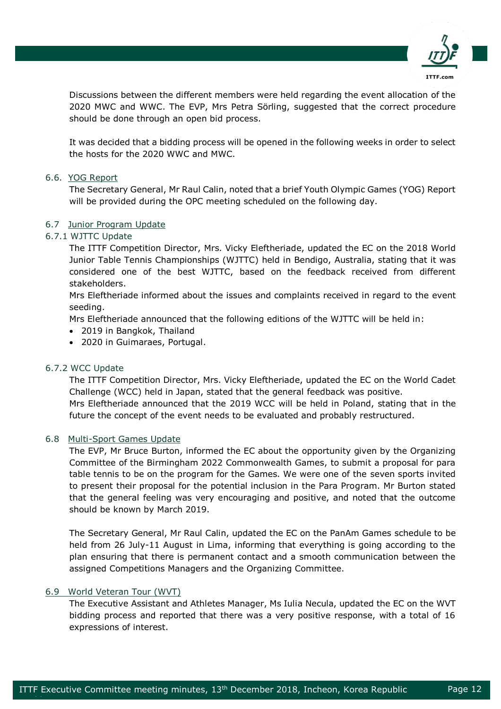

Discussions between the different members were held regarding the event allocation of the 2020 MWC and WWC. The EVP, Mrs Petra Sörling, suggested that the correct procedure should be done through an open bid process.

It was decided that a bidding process will be opened in the following weeks in order to select the hosts for the 2020 WWC and MWC.

## 6.6. YOG Report

The Secretary General, Mr Raul Calin, noted that a brief Youth Olympic Games (YOG) Report will be provided during the OPC meeting scheduled on the following day.

## 6.7 Junior Program Update

## 6.7.1 WJTTC Update

The ITTF Competition Director, Mrs. Vicky Eleftheriade, updated the EC on the 2018 World Junior Table Tennis Championships (WJTTC) held in Bendigo, Australia, stating that it was considered one of the best WJTTC, based on the feedback received from different stakeholders.

Mrs Eleftheriade informed about the issues and complaints received in regard to the event seeding.

Mrs Eleftheriade announced that the following editions of the WJTTC will be held in:

- 2019 in Bangkok, Thailand
- 2020 in Guimaraes, Portugal.

## 6.7.2 WCC Update

The ITTF Competition Director, Mrs. Vicky Eleftheriade, updated the EC on the World Cadet Challenge (WCC) held in Japan, stated that the general feedback was positive. Mrs Eleftheriade announced that the 2019 WCC will be held in Poland, stating that in the future the concept of the event needs to be evaluated and probably restructured.

## 6.8 Multi-Sport Games Update

The EVP, Mr Bruce Burton, informed the EC about the opportunity given by the Organizing Committee of the Birmingham 2022 Commonwealth Games, to submit a proposal for para table tennis to be on the program for the Games. We were one of the seven sports invited to present their proposal for the potential inclusion in the Para Program. Mr Burton stated that the general feeling was very encouraging and positive, and noted that the outcome should be known by March 2019.

The Secretary General, Mr Raul Calin, updated the EC on the PanAm Games schedule to be held from 26 July-11 August in Lima, informing that everything is going according to the plan ensuring that there is permanent contact and a smooth communication between the assigned Competitions Managers and the Organizing Committee.

## 6.9 World Veteran Tour (WVT)

epublica est.<br>Perus de la provincia de la provincia de la provincia de la provincia de la provincia de la provincia de la p<br>Perus de la provincia de la provincia de la provincia de la provincia de la provincia de la provin

The Executive Assistant and Athletes Manager, Ms Iulia Necula, updated the EC on the WVT bidding process and reported that there was a very positive response, with a total of 16 expressions of interest.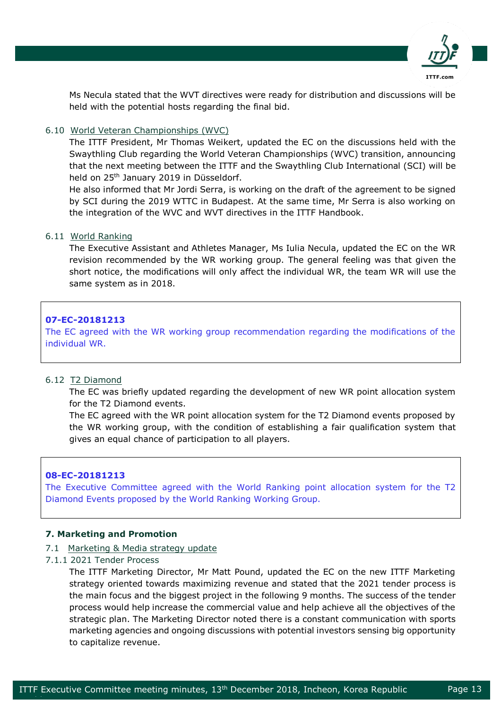

Ms Necula stated that the WVT directives were ready for distribution and discussions will be held with the potential hosts regarding the final bid.

## 6.10 World Veteran Championships (WVC)

The ITTF President, Mr Thomas Weikert, updated the EC on the discussions held with the Swaythling Club regarding the World Veteran Championships (WVC) transition, announcing that the next meeting between the ITTF and the Swaythling Club International (SCI) will be held on 25<sup>th</sup> January 2019 in Düsseldorf.

He also informed that Mr Jordi Serra, is working on the draft of the agreement to be signed by SCI during the 2019 WTTC in Budapest. At the same time, Mr Serra is also working on the integration of the WVC and WVT directives in the ITTF Handbook.

## 6.11 World Ranking

The Executive Assistant and Athletes Manager, Ms Iulia Necula, updated the EC on the WR revision recommended by the WR working group. The general feeling was that given the short notice, the modifications will only affect the individual WR, the team WR will use the same system as in 2018.

## **07-EC-20181213**

The EC agreed with the WR working group recommendation regarding the modifications of the individual WR.

## 6.12 T2 Diamond

The EC was briefly updated regarding the development of new WR point allocation system for the T2 Diamond events.

The EC agreed with the WR point allocation system for the T2 Diamond events proposed by the WR working group, with the condition of establishing a fair qualification system that gives an equal chance of participation to all players.

## **08-EC-20181213**

The Executive Committee agreed with the World Ranking point allocation system for the T2 Diamond Events proposed by the World Ranking Working Group.

## **7. Marketing and Promotion**

- 7.1 Marketing & Media strategy update
- 7.1.1 2021 Tender Process

epublica est.<br>Perustan

The ITTF Marketing Director, Mr Matt Pound, updated the EC on the new ITTF Marketing strategy oriented towards maximizing revenue and stated that the 2021 tender process is the main focus and the biggest project in the following 9 months. The success of the tender process would help increase the commercial value and help achieve all the objectives of the strategic plan. The Marketing Director noted there is a constant communication with sports marketing agencies and ongoing discussions with potential investors sensing big opportunity to capitalize revenue.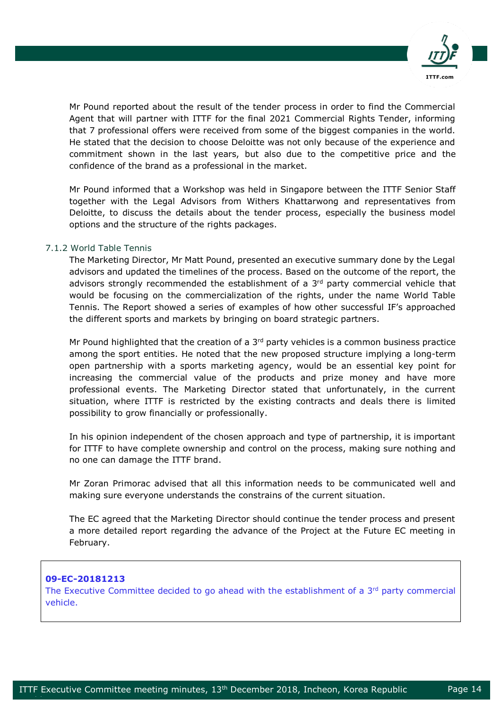

Mr Pound reported about the result of the tender process in order to find the Commercial Agent that will partner with ITTF for the final 2021 Commercial Rights Tender, informing that 7 professional offers were received from some of the biggest companies in the world. He stated that the decision to choose Deloitte was not only because of the experience and commitment shown in the last years, but also due to the competitive price and the confidence of the brand as a professional in the market.

Mr Pound informed that a Workshop was held in Singapore between the ITTF Senior Staff together with the Legal Advisors from Withers Khattarwong and representatives from Deloitte, to discuss the details about the tender process, especially the business model options and the structure of the rights packages.

## 7.1.2 World Table Tennis

The Marketing Director, Mr Matt Pound, presented an executive summary done by the Legal advisors and updated the timelines of the process. Based on the outcome of the report, the advisors strongly recommended the establishment of a 3rd party commercial vehicle that would be focusing on the commercialization of the rights, under the name World Table Tennis. The Report showed a series of examples of how other successful IF's approached the different sports and markets by bringing on board strategic partners.

Mr Pound highlighted that the creation of a  $3<sup>rd</sup>$  party vehicles is a common business practice among the sport entities. He noted that the new proposed structure implying a long-term open partnership with a sports marketing agency, would be an essential key point for increasing the commercial value of the products and prize money and have more professional events. The Marketing Director stated that unfortunately, in the current situation, where ITTF is restricted by the existing contracts and deals there is limited possibility to grow financially or professionally.

In his opinion independent of the chosen approach and type of partnership, it is important for ITTF to have complete ownership and control on the process, making sure nothing and no one can damage the ITTF brand.

Mr Zoran Primorac advised that all this information needs to be communicated well and making sure everyone understands the constrains of the current situation.

The EC agreed that the Marketing Director should continue the tender process and present a more detailed report regarding the advance of the Project at the Future EC meeting in February.

## **09-EC-20181213**

epublica est.<br>Perustan

The Executive Committee decided to go ahead with the establishment of a  $3<sup>rd</sup>$  party commercial vehicle.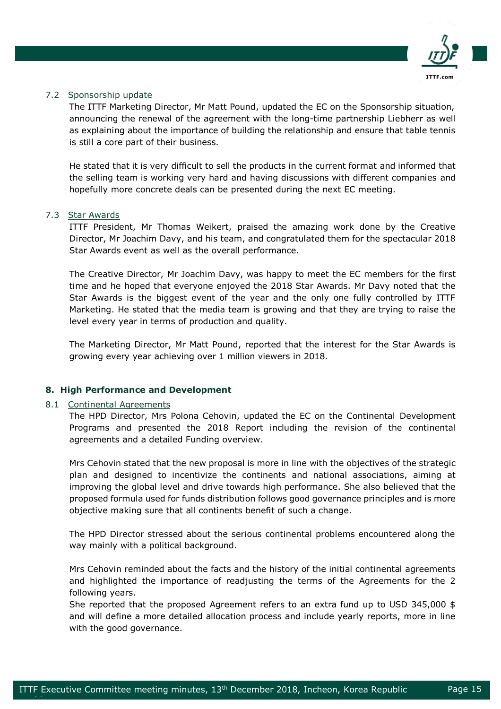

## 7.2 Sponsorship update

The ITTF Marketing Director, Mr Matt Pound, updated the EC on the Sponsorship situation, announcing the renewal of the agreement with the long-time partnership Liebherr as well as explaining about the importance of building the relationship and ensure that table tennis is still a core part of their business.

He stated that it is very difficult to sell the products in the current format and informed that the selling team is working very hard and having discussions with different companies and hopefully more concrete deals can be presented during the next EC meeting.

## 7.3 Star Awards

ITTF President, Mr Thomas Weikert, praised the amazing work done by the Creative Director, Mr Joachim Davy, and his team, and congratulated them for the spectacular 2018 Star Awards event as well as the overall performance.

The Creative Director, Mr Joachim Davy, was happy to meet the EC members for the first time and he hoped that everyone enjoyed the 2018 Star Awards. Mr Davy noted that the Star Awards is the biggest event of the year and the only one fully controlled by ITTF Marketing. He stated that the media team is growing and that they are trying to raise the level every year in terms of production and quality.

The Marketing Director, Mr Matt Pound, reported that the interest for the Star Awards is growing every year achieving over 1 million viewers in 2018.

## **8. High Performance and Development**

## 8.1 Continental Agreements

epublica est.<br>Perustan

The HPD Director, Mrs Polona Cehovin, updated the EC on the Continental Development Programs and presented the 2018 Report including the revision of the continental agreements and a detailed Funding overview.

Mrs Cehovin stated that the new proposal is more in line with the objectives of the strategic plan and designed to incentivize the continents and national associations, aiming at improving the global level and drive towards high performance. She also believed that the proposed formula used for funds distribution follows good governance principles and is more objective making sure that all continents benefit of such a change.

The HPD Director stressed about the serious continental problems encountered along the way mainly with a political background.

Mrs Cehovin reminded about the facts and the history of the initial continental agreements and highlighted the importance of readjusting the terms of the Agreements for the 2 following years.

She reported that the proposed Agreement refers to an extra fund up to USD 345,000 \$ and will define a more detailed allocation process and include yearly reports, more in line with the good governance.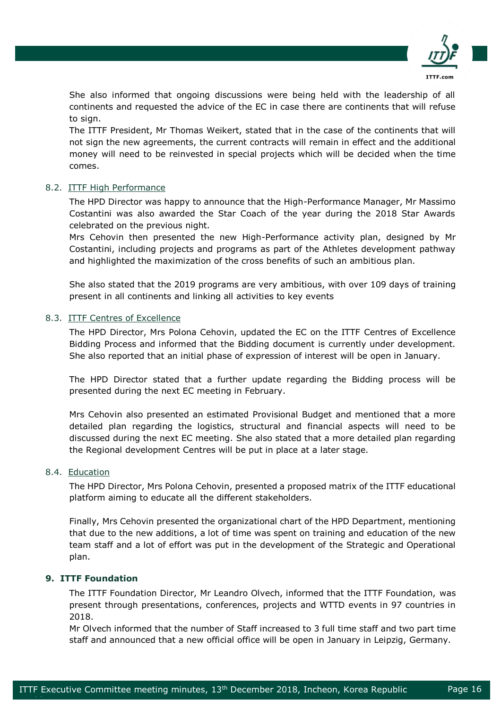

She also informed that ongoing discussions were being held with the leadership of all continents and requested the advice of the EC in case there are continents that will refuse to sign.

The ITTF President, Mr Thomas Weikert, stated that in the case of the continents that will not sign the new agreements, the current contracts will remain in effect and the additional money will need to be reinvested in special projects which will be decided when the time comes.

## 8.2. ITTF High Performance

The HPD Director was happy to announce that the High-Performance Manager, Mr Massimo Costantini was also awarded the Star Coach of the year during the 2018 Star Awards celebrated on the previous night.

Mrs Cehovin then presented the new High-Performance activity plan, designed by Mr Costantini, including projects and programs as part of the Athletes development pathway and highlighted the maximization of the cross benefits of such an ambitious plan.

She also stated that the 2019 programs are very ambitious, with over 109 days of training present in all continents and linking all activities to key events

## 8.3. ITTF Centres of Excellence

The HPD Director, Mrs Polona Cehovin, updated the EC on the ITTF Centres of Excellence Bidding Process and informed that the Bidding document is currently under development. She also reported that an initial phase of expression of interest will be open in January.

The HPD Director stated that a further update regarding the Bidding process will be presented during the next EC meeting in February.

Mrs Cehovin also presented an estimated Provisional Budget and mentioned that a more detailed plan regarding the logistics, structural and financial aspects will need to be discussed during the next EC meeting. She also stated that a more detailed plan regarding the Regional development Centres will be put in place at a later stage.

## 8.4. Education

The HPD Director, Mrs Polona Cehovin, presented a proposed matrix of the ITTF educational platform aiming to educate all the different stakeholders.

Finally, Mrs Cehovin presented the organizational chart of the HPD Department, mentioning that due to the new additions, a lot of time was spent on training and education of the new team staff and a lot of effort was put in the development of the Strategic and Operational plan.

## **9. ITTF Foundation**

epublica est.<br>Perustan

The ITTF Foundation Director, Mr Leandro Olvech, informed that the ITTF Foundation, was present through presentations, conferences, projects and WTTD events in 97 countries in 2018.

Mr Olvech informed that the number of Staff increased to 3 full time staff and two part time staff and announced that a new official office will be open in January in Leipzig, Germany.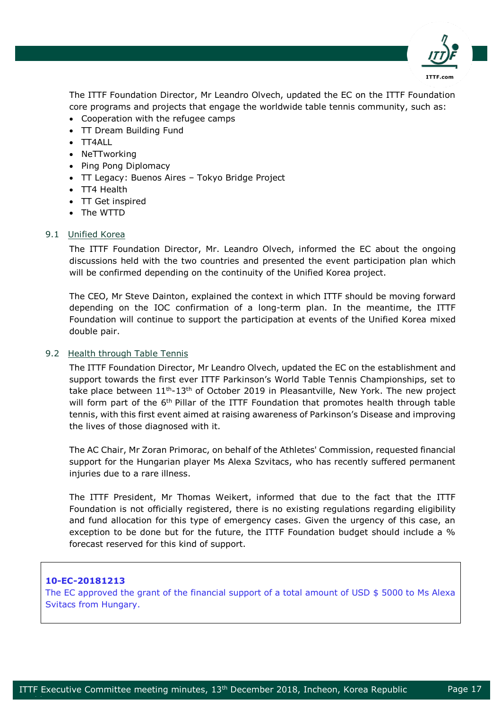

The ITTF Foundation Director, Mr Leandro Olvech, updated the EC on the ITTF Foundation core programs and projects that engage the worldwide table tennis community, such as:

- Cooperation with the refugee camps
- TT Dream Building Fund
- TT4ALL
- NeTTworking
- Ping Pong Diplomacy
- TT Legacy: Buenos Aires Tokyo Bridge Project
- TT4 Health
- TT Get inspired
- The WTTD

## 9.1 Unified Korea

The ITTF Foundation Director, Mr. Leandro Olvech, informed the EC about the ongoing discussions held with the two countries and presented the event participation plan which will be confirmed depending on the continuity of the Unified Korea project.

The CEO, Mr Steve Dainton, explained the context in which ITTF should be moving forward depending on the IOC confirmation of a long-term plan. In the meantime, the ITTF Foundation will continue to support the participation at events of the Unified Korea mixed double pair.

## 9.2 Health through Table Tennis

The ITTF Foundation Director, Mr Leandro Olvech, updated the EC on the establishment and support towards the first ever ITTF Parkinson's World Table Tennis Championships, set to take place between  $11<sup>th</sup> - 13<sup>th</sup>$  of October 2019 in Pleasantville, New York. The new project will form part of the 6<sup>th</sup> Pillar of the ITTF Foundation that promotes health through table tennis, with this first event aimed at raising awareness of Parkinson's Disease and improving the lives of those diagnosed with it.

The AC Chair, Mr Zoran Primorac, on behalf of the Athletes' Commission, requested financial support for the Hungarian player Ms Alexa Szvitacs, who has recently suffered permanent injuries due to a rare illness.

The ITTF President, Mr Thomas Weikert, informed that due to the fact that the ITTF Foundation is not officially registered, there is no existing regulations regarding eligibility and fund allocation for this type of emergency cases. Given the urgency of this case, an exception to be done but for the future, the ITTF Foundation budget should include a % forecast reserved for this kind of support.

## **10-EC-20181213**

epublica est.<br>Perustan

The EC approved the grant of the financial support of a total amount of USD  $$5000$  to Ms Alexa Svitacs from Hungary.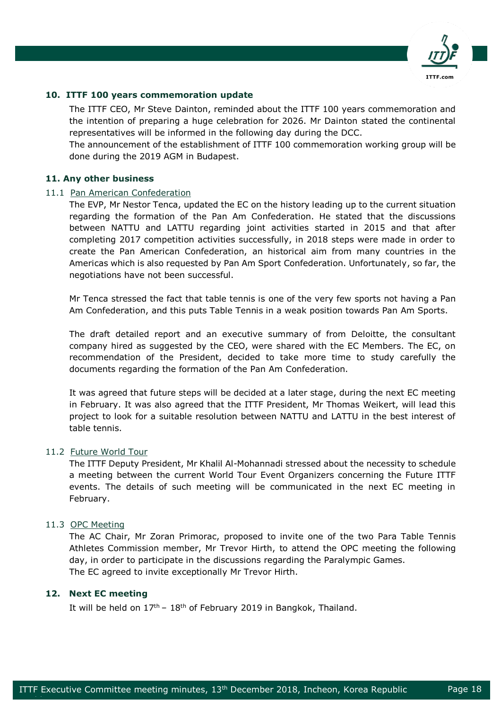

## **10. ITTF 100 years commemoration update**

The ITTF CEO, Mr Steve Dainton, reminded about the ITTF 100 years commemoration and the intention of preparing a huge celebration for 2026. Mr Dainton stated the continental representatives will be informed in the following day during the DCC.

The announcement of the establishment of ITTF 100 commemoration working group will be done during the 2019 AGM in Budapest.

#### **11. Any other business**

#### 11.1 Pan American Confederation

The EVP, Mr Nestor Tenca, updated the EC on the history leading up to the current situation regarding the formation of the Pan Am Confederation. He stated that the discussions between NATTU and LATTU regarding joint activities started in 2015 and that after completing 2017 competition activities successfully, in 2018 steps were made in order to create the Pan American Confederation, an historical aim from many countries in the Americas which is also requested by Pan Am Sport Confederation. Unfortunately, so far, the negotiations have not been successful.

Mr Tenca stressed the fact that table tennis is one of the very few sports not having a Pan Am Confederation, and this puts Table Tennis in a weak position towards Pan Am Sports.

The draft detailed report and an executive summary of from Deloitte, the consultant company hired as suggested by the CEO, were shared with the EC Members. The EC, on recommendation of the President, decided to take more time to study carefully the documents regarding the formation of the Pan Am Confederation.

It was agreed that future steps will be decided at a later stage, during the next EC meeting in February. It was also agreed that the ITTF President, Mr Thomas Weikert, will lead this project to look for a suitable resolution between NATTU and LATTU in the best interest of table tennis.

#### 11.2 Future World Tour

The ITTF Deputy President, Mr Khalil Al-Mohannadi stressed about the necessity to schedule a meeting between the current World Tour Event Organizers concerning the Future ITTF events. The details of such meeting will be communicated in the next EC meeting in February.

#### 11.3 OPC Meeting

The AC Chair, Mr Zoran Primorac, proposed to invite one of the two Para Table Tennis Athletes Commission member, Mr Trevor Hirth, to attend the OPC meeting the following day, in order to participate in the discussions regarding the Paralympic Games. The EC agreed to invite exceptionally Mr Trevor Hirth.

## **12. Next EC meeting**

epublica est.<br>Perustan

It will be held on  $17<sup>th</sup> - 18<sup>th</sup>$  of February 2019 in Bangkok, Thailand.